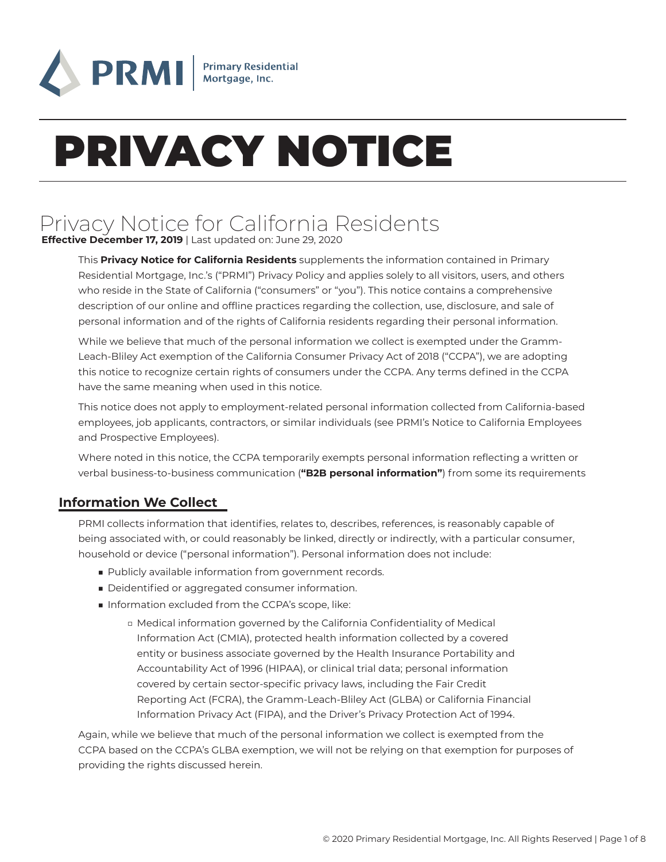

# PRIVACY NOTICE

# Privacy Notice for California Residents **Effective December 17, 2019** | Last updated on: June 29, 2020

This **Privacy Notice for California Residents** supplements the information contained in Primary Residential Mortgage, Inc.'s ("PRMI") Privacy Policy and applies solely to all visitors, users, and others who reside in the State of California ("consumers" or "you"). This notice contains a comprehensive description of our online and offline practices regarding the collection, use, disclosure, and sale of personal information and of the rights of California residents regarding their personal information.

While we believe that much of the personal information we collect is exempted under the Gramm-Leach-Bliley Act exemption of the California Consumer Privacy Act of 2018 ("CCPA"), we are adopting this notice to recognize certain rights of consumers under the CCPA. Any terms defined in the CCPA have the same meaning when used in this notice.

This notice does not apply to employment-related personal information collected from California-based employees, job applicants, contractors, or similar individuals (see PRMI's Notice to California Employees and Prospective Employees).

Where noted in this notice, the CCPA temporarily exempts personal information reflecting a written or verbal business-to-business communication (**"B2B personal information"**) from some its requirements

# **Information We Collect**

PRMI collects information that identifies, relates to, describes, references, is reasonably capable of being associated with, or could reasonably be linked, directly or indirectly, with a particular consumer, household or device ("personal information"). Personal information does not include:

- Publicly available information from government records.
- Deidentified or aggregated consumer information.
- Information excluded from the CCPA's scope, like:
	- □ Medical information governed by the California Confidentiality of Medical Information Act (CMIA), protected health information collected by a covered entity or business associate governed by the Health Insurance Portability and Accountability Act of 1996 (HIPAA), or clinical trial data; personal information covered by certain sector-specific privacy laws, including the Fair Credit Reporting Act (FCRA), the Gramm-Leach-Bliley Act (GLBA) or California Financial Information Privacy Act (FIPA), and the Driver's Privacy Protection Act of 1994.

Again, while we believe that much of the personal information we collect is exempted from the CCPA based on the CCPA's GLBA exemption, we will not be relying on that exemption for purposes of providing the rights discussed herein.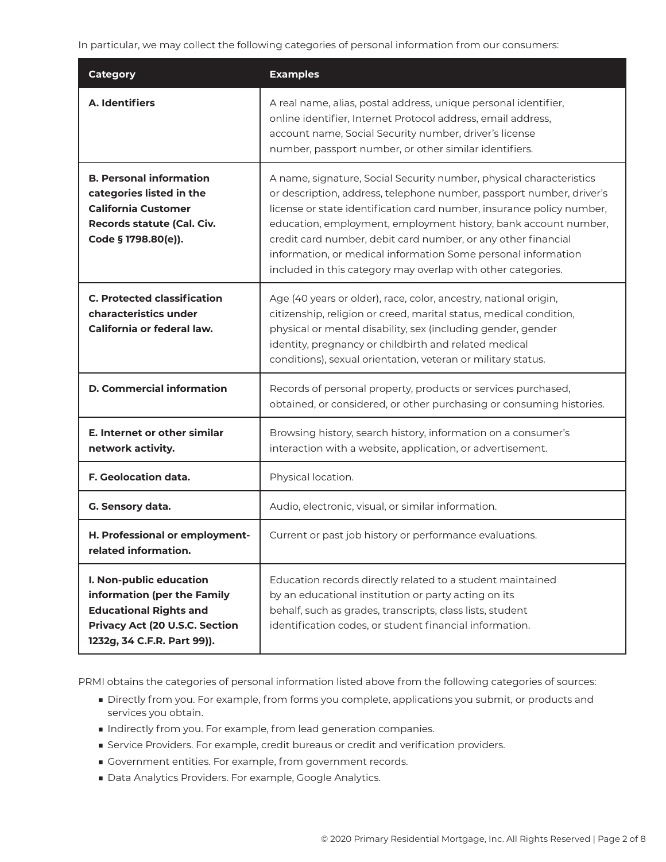In particular, we may collect the following categories of personal information from our consumers:

| <b>Category</b>                                                                                                                                          | <b>Examples</b>                                                                                                                                                                                                                                                                                                                                                                                                                                                                           |
|----------------------------------------------------------------------------------------------------------------------------------------------------------|-------------------------------------------------------------------------------------------------------------------------------------------------------------------------------------------------------------------------------------------------------------------------------------------------------------------------------------------------------------------------------------------------------------------------------------------------------------------------------------------|
| A. Identifiers                                                                                                                                           | A real name, alias, postal address, unique personal identifier,<br>online identifier, Internet Protocol address, email address,<br>account name, Social Security number, driver's license<br>number, passport number, or other similar identifiers.                                                                                                                                                                                                                                       |
| <b>B. Personal information</b><br>categories listed in the<br><b>California Customer</b><br>Records statute (Cal. Civ.<br>Code § 1798.80(e)).            | A name, signature, Social Security number, physical characteristics<br>or description, address, telephone number, passport number, driver's<br>license or state identification card number, insurance policy number,<br>education, employment, employment history, bank account number,<br>credit card number, debit card number, or any other financial<br>information, or medical information Some personal information<br>included in this category may overlap with other categories. |
| <b>C. Protected classification</b><br>characteristics under<br>California or federal law.                                                                | Age (40 years or older), race, color, ancestry, national origin,<br>citizenship, religion or creed, marital status, medical condition,<br>physical or mental disability, sex (including gender, gender<br>identity, pregnancy or childbirth and related medical<br>conditions), sexual orientation, veteran or military status.                                                                                                                                                           |
| <b>D. Commercial information</b>                                                                                                                         | Records of personal property, products or services purchased,<br>obtained, or considered, or other purchasing or consuming histories.                                                                                                                                                                                                                                                                                                                                                     |
| E. Internet or other similar<br>network activity.                                                                                                        | Browsing history, search history, information on a consumer's<br>interaction with a website, application, or advertisement.                                                                                                                                                                                                                                                                                                                                                               |
| <b>F. Geolocation data.</b>                                                                                                                              | Physical location.                                                                                                                                                                                                                                                                                                                                                                                                                                                                        |
| G. Sensory data.                                                                                                                                         | Audio, electronic, visual, or similar information.                                                                                                                                                                                                                                                                                                                                                                                                                                        |
| H. Professional or employment-<br>related information.                                                                                                   | Current or past job history or performance evaluations.                                                                                                                                                                                                                                                                                                                                                                                                                                   |
| I. Non-public education<br>information (per the Family<br><b>Educational Rights and</b><br>Privacy Act (20 U.S.C. Section<br>1232g, 34 C.F.R. Part 99)). | Education records directly related to a student maintained<br>by an educational institution or party acting on its<br>behalf, such as grades, transcripts, class lists, student<br>identification codes, or student financial information.                                                                                                                                                                                                                                                |

PRMI obtains the categories of personal information listed above from the following categories of sources:

- Directly from you. For example, from forms you complete, applications you submit, or products and services you obtain.
- Indirectly from you. For example, from lead generation companies.
- Service Providers. For example, credit bureaus or credit and verification providers.
- Government entities. For example, from government records.
- Data Analytics Providers. For example, Google Analytics.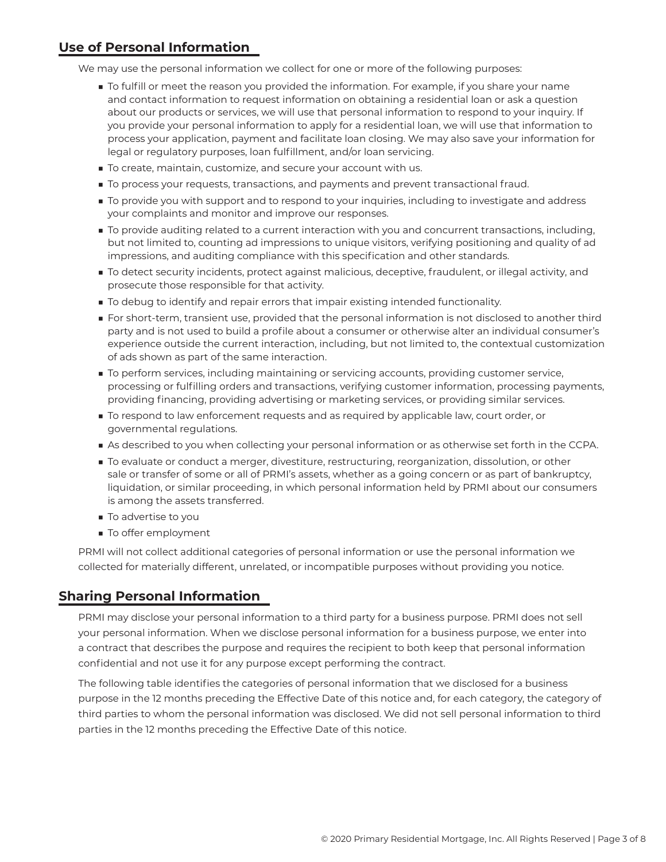# **Use of Personal Information**

We may use the personal information we collect for one or more of the following purposes:

- To fulfill or meet the reason you provided the information. For example, if you share your name and contact information to request information on obtaining a residential loan or ask a question about our products or services, we will use that personal information to respond to your inquiry. If you provide your personal information to apply for a residential loan, we will use that information to process your application, payment and facilitate loan closing. We may also save your information for legal or regulatory purposes, loan fulfillment, and/or loan servicing.
- To create, maintain, customize, and secure your account with us.
- To process your requests, transactions, and payments and prevent transactional fraud.
- To provide you with support and to respond to your inquiries, including to investigate and address your complaints and monitor and improve our responses.
- To provide auditing related to a current interaction with you and concurrent transactions, including, but not limited to, counting ad impressions to unique visitors, verifying positioning and quality of ad impressions, and auditing compliance with this specification and other standards.
- To detect security incidents, protect against malicious, deceptive, fraudulent, or illegal activity, and prosecute those responsible for that activity.
- To debug to identify and repair errors that impair existing intended functionality.
- For short-term, transient use, provided that the personal information is not disclosed to another third party and is not used to build a profile about a consumer or otherwise alter an individual consumer's experience outside the current interaction, including, but not limited to, the contextual customization of ads shown as part of the same interaction.
- To perform services, including maintaining or servicing accounts, providing customer service, processing or fulfilling orders and transactions, verifying customer information, processing payments, providing financing, providing advertising or marketing services, or providing similar services.
- To respond to law enforcement requests and as required by applicable law, court order, or governmental regulations.
- As described to you when collecting your personal information or as otherwise set forth in the CCPA.
- To evaluate or conduct a merger, divestiture, restructuring, reorganization, dissolution, or other sale or transfer of some or all of PRMI's assets, whether as a going concern or as part of bankruptcy, liquidation, or similar proceeding, in which personal information held by PRMI about our consumers is among the assets transferred.
- To advertise to you
- To offer employment

PRMI will not collect additional categories of personal information or use the personal information we collected for materially different, unrelated, or incompatible purposes without providing you notice.

# **Sharing Personal Information**

PRMI may disclose your personal information to a third party for a business purpose. PRMI does not sell your personal information. When we disclose personal information for a business purpose, we enter into a contract that describes the purpose and requires the recipient to both keep that personal information confidential and not use it for any purpose except performing the contract.

The following table identifies the categories of personal information that we disclosed for a business purpose in the 12 months preceding the Effective Date of this notice and, for each category, the category of third parties to whom the personal information was disclosed. We did not sell personal information to third parties in the 12 months preceding the Effective Date of this notice.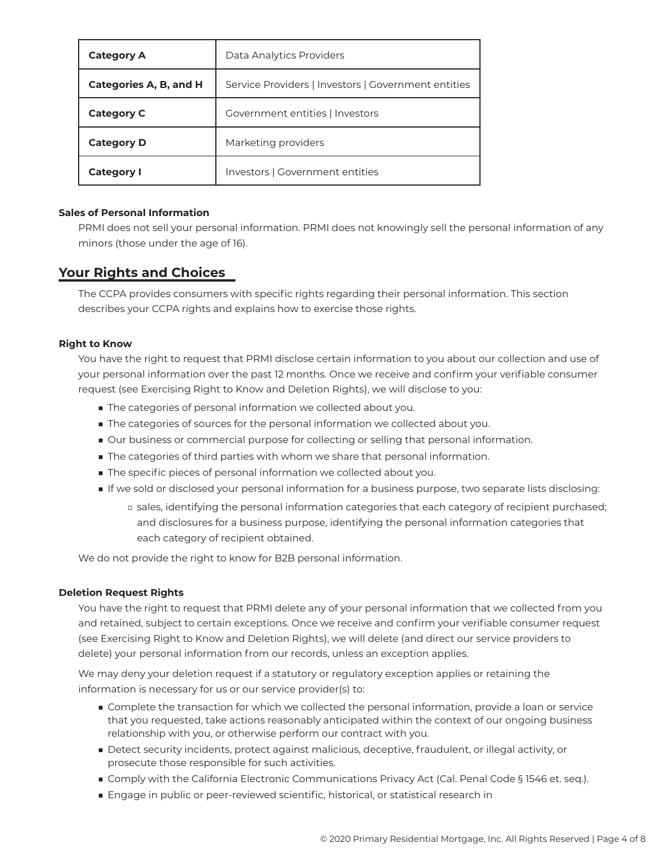| <b>Category A</b>      | Data Analytics Providers                            |
|------------------------|-----------------------------------------------------|
| Categories A, B, and H | Service Providers   Investors   Government entities |
| <b>Category C</b>      | Government entities   Investors                     |
| <b>Category D</b>      | Marketing providers                                 |
| <b>Category I</b>      | Investors   Government entities                     |

#### **Sales of Personal Information**

PRMI does not sell your personal information. PRMI does not knowingly sell the personal information of any minors (those under the age of 16).

# **Your Rights and Choices**

The CCPA provides consumers with specific rights regarding their personal information. This section describes your CCPA rights and explains how to exercise those rights.

#### **Right to Know**

You have the right to request that PRMI disclose certain information to you about our collection and use of your personal information over the past 12 months. Once we receive and confirm your verifiable consumer request (see Exercising Right to Know and Deletion Rights), we will disclose to you:

- The categories of personal information we collected about you.
- The categories of sources for the personal information we collected about you.
- Our business or commercial purpose for collecting or selling that personal information.
- The categories of third parties with whom we share that personal information.
- The specific pieces of personal information we collected about you.
- If we sold or disclosed your personal information for a business purpose, two separate lists disclosing:
	- □ sales, identifying the personal information categories that each category of recipient purchased; and disclosures for a business purpose, identifying the personal information categories that each category of recipient obtained.

We do not provide the right to know for B2B personal information.

#### **Deletion Request Rights**

You have the right to request that PRMI delete any of your personal information that we collected from you and retained, subject to certain exceptions. Once we receive and confirm your verifiable consumer request (see Exercising Right to Know and Deletion Rights), we will delete (and direct our service providers to delete) your personal information from our records, unless an exception applies.

We may deny your deletion request if a statutory or regulatory exception applies or retaining the information is necessary for us or our service provider(s) to:

- Complete the transaction for which we collected the personal information, provide a loan or service that you requested, take actions reasonably anticipated within the context of our ongoing business relationship with you, or otherwise perform our contract with you.
- Detect security incidents, protect against malicious, deceptive, fraudulent, or illegal activity, or prosecute those responsible for such activities.
- Comply with the California Electronic Communications Privacy Act (Cal. Penal Code § 1546 et. seq.).
- Engage in public or peer-reviewed scientific, historical, or statistical research in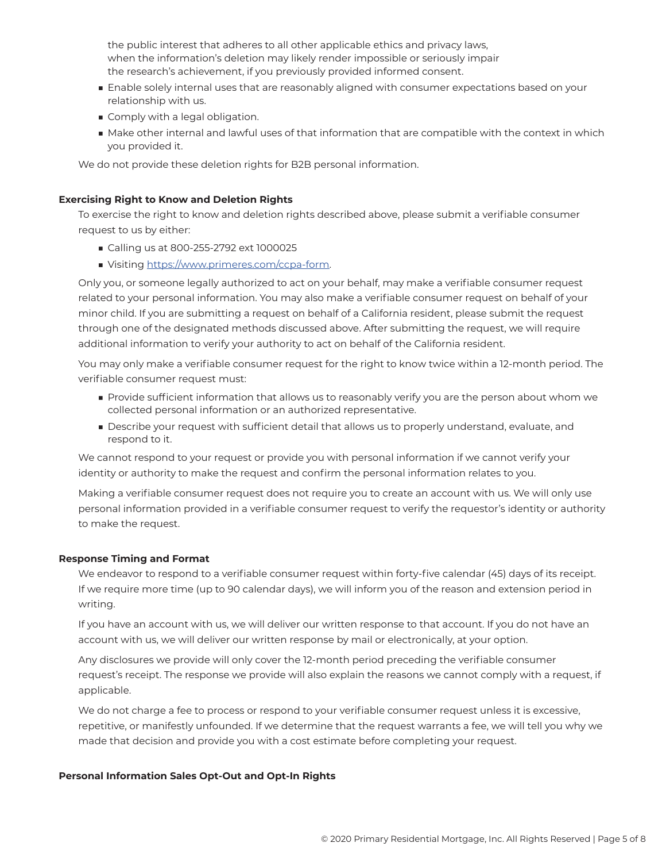the public interest that adheres to all other applicable ethics and privacy laws, when the information's deletion may likely render impossible or seriously impair the research's achievement, if you previously provided informed consent.

- Enable solely internal uses that are reasonably aligned with consumer expectations based on your relationship with us.
- Comply with a legal obligation.
- Make other internal and lawful uses of that information that are compatible with the context in which you provided it.

We do not provide these deletion rights for B2B personal information.

#### **Exercising Right to Know and Deletion Rights**

To exercise the right to know and deletion rights described above, please submit a verifiable consumer request to us by either:

- Calling us at 800-255-2792 ext 1000025
- Visiting https://www.primeres.com/ccpa-form.

Only you, or someone legally authorized to act on your behalf, may make a verifiable consumer request related to your personal information. You may also make a verifiable consumer request on behalf of your minor child. If you are submitting a request on behalf of a California resident, please submit the request through one of the designated methods discussed above. After submitting the request, we will require additional information to verify your authority to act on behalf of the California resident.

You may only make a verifiable consumer request for the right to know twice within a 12-month period. The verifiable consumer request must:

- Provide sufficient information that allows us to reasonably verify you are the person about whom we collected personal information or an authorized representative.
- Describe your request with sufficient detail that allows us to properly understand, evaluate, and respond to it.

We cannot respond to your request or provide you with personal information if we cannot verify your identity or authority to make the request and confirm the personal information relates to you.

Making a verifiable consumer request does not require you to create an account with us. We will only use personal information provided in a verifiable consumer request to verify the requestor's identity or authority to make the request.

#### **Response Timing and Format**

We endeavor to respond to a verifiable consumer request within forty-five calendar (45) days of its receipt. If we require more time (up to 90 calendar days), we will inform you of the reason and extension period in writing.

If you have an account with us, we will deliver our written response to that account. If you do not have an account with us, we will deliver our written response by mail or electronically, at your option.

Any disclosures we provide will only cover the 12-month period preceding the verifiable consumer request's receipt. The response we provide will also explain the reasons we cannot comply with a request, if applicable.

We do not charge a fee to process or respond to your verifiable consumer request unless it is excessive, repetitive, or manifestly unfounded. If we determine that the request warrants a fee, we will tell you why we made that decision and provide you with a cost estimate before completing your request.

#### **Personal Information Sales Opt-Out and Opt-In Rights**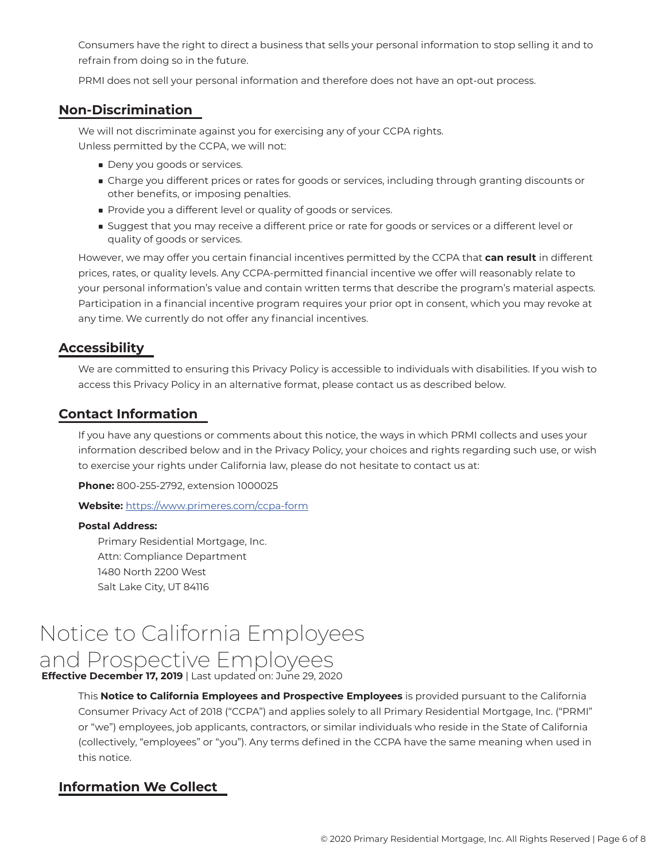Consumers have the right to direct a business that sells your personal information to stop selling it and to refrain from doing so in the future.

PRMI does not sell your personal information and therefore does not have an opt-out process.

# **Non-Discrimination**

We will not discriminate against you for exercising any of your CCPA rights. Unless permitted by the CCPA, we will not:

- Deny you goods or services.
- Charge you different prices or rates for goods or services, including through granting discounts or other benefits, or imposing penalties.
- Provide you a different level or quality of goods or services.
- Suggest that you may receive a different price or rate for goods or services or a different level or quality of goods or services.

However, we may offer you certain financial incentives permitted by the CCPA that **can result** in different prices, rates, or quality levels. Any CCPA-permitted financial incentive we offer will reasonably relate to your personal information's value and contain written terms that describe the program's material aspects. Participation in a financial incentive program requires your prior opt in consent, which you may revoke at any time. We currently do not offer any financial incentives.

#### **Accessibility**

We are committed to ensuring this Privacy Policy is accessible to individuals with disabilities. If you wish to access this Privacy Policy in an alternative format, please contact us as described below.

#### **Contact Information**

If you have any questions or comments about this notice, the ways in which PRMI collects and uses your information described below and in the Privacy Policy, your choices and rights regarding such use, or wish to exercise your rights under California law, please do not hesitate to contact us at:

**Phone:** 800-255-2792, extension 1000025

#### **Website:** https://www.primeres.com/ccpa-form

#### **Postal Address:**

Primary Residential Mortgage, Inc. Attn: Compliance Department 1480 North 2200 West Salt Lake City, UT 84116

# Notice to California Employees and Prospective Employees

**Effective December 17, 2019** | Last updated on: June 29, 2020

This **Notice to California Employees and Prospective Employees** is provided pursuant to the California Consumer Privacy Act of 2018 ("CCPA") and applies solely to all Primary Residential Mortgage, Inc. ("PRMI" or "we") employees, job applicants, contractors, or similar individuals who reside in the State of California (collectively, "employees" or "you"). Any terms defined in the CCPA have the same meaning when used in this notice.

# **Information We Collect**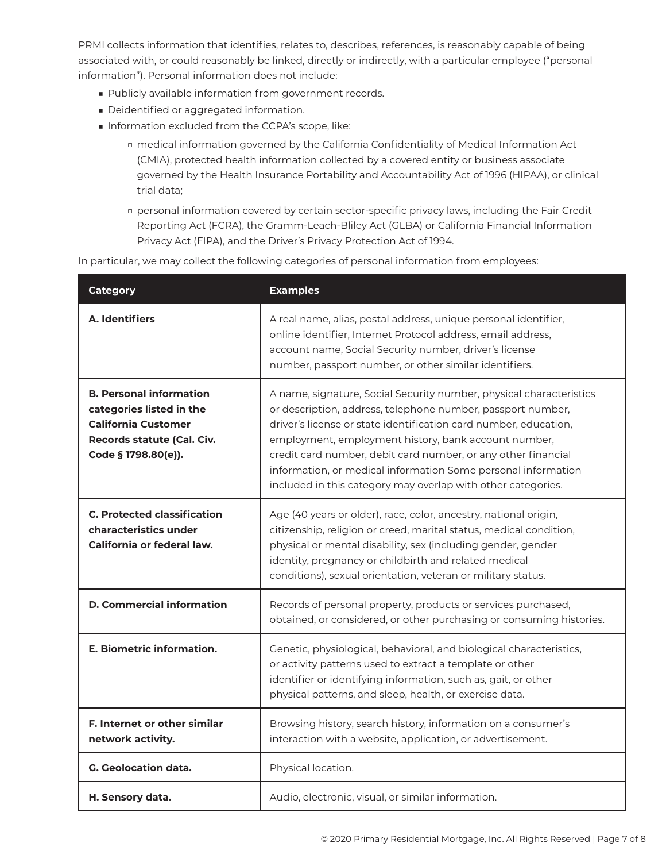PRMI collects information that identifies, relates to, describes, references, is reasonably capable of being associated with, or could reasonably be linked, directly or indirectly, with a particular employee ("personal information"). Personal information does not include:

- Publicly available information from government records.
- Deidentified or aggregated information.
- Information excluded from the CCPA's scope, like:
	- □ medical information governed by the California Confidentiality of Medical Information Act (CMIA), protected health information collected by a covered entity or business associate governed by the Health Insurance Portability and Accountability Act of 1996 (HIPAA), or clinical trial data;
	- □ personal information covered by certain sector-specific privacy laws, including the Fair Credit Reporting Act (FCRA), the Gramm-Leach-Bliley Act (GLBA) or California Financial Information Privacy Act (FIPA), and the Driver's Privacy Protection Act of 1994.

In particular, we may collect the following categories of personal information from employees:

| <b>Category</b>                                                                                                                               | <b>Examples</b>                                                                                                                                                                                                                                                                                                                                                                                                                                                  |
|-----------------------------------------------------------------------------------------------------------------------------------------------|------------------------------------------------------------------------------------------------------------------------------------------------------------------------------------------------------------------------------------------------------------------------------------------------------------------------------------------------------------------------------------------------------------------------------------------------------------------|
| A. Identifiers                                                                                                                                | A real name, alias, postal address, unique personal identifier,<br>online identifier, Internet Protocol address, email address,<br>account name, Social Security number, driver's license<br>number, passport number, or other similar identifiers.                                                                                                                                                                                                              |
| <b>B. Personal information</b><br>categories listed in the<br><b>California Customer</b><br>Records statute (Cal. Civ.<br>Code § 1798.80(e)). | A name, signature, Social Security number, physical characteristics<br>or description, address, telephone number, passport number,<br>driver's license or state identification card number, education,<br>employment, employment history, bank account number,<br>credit card number, debit card number, or any other financial<br>information, or medical information Some personal information<br>included in this category may overlap with other categories. |
| <b>C. Protected classification</b><br>characteristics under<br>California or federal law.                                                     | Age (40 years or older), race, color, ancestry, national origin,<br>citizenship, religion or creed, marital status, medical condition,<br>physical or mental disability, sex (including gender, gender<br>identity, pregnancy or childbirth and related medical<br>conditions), sexual orientation, veteran or military status.                                                                                                                                  |
| <b>D. Commercial information</b>                                                                                                              | Records of personal property, products or services purchased,<br>obtained, or considered, or other purchasing or consuming histories.                                                                                                                                                                                                                                                                                                                            |
| <b>E. Biometric information.</b>                                                                                                              | Genetic, physiological, behavioral, and biological characteristics,<br>or activity patterns used to extract a template or other<br>identifier or identifying information, such as, gait, or other<br>physical patterns, and sleep, health, or exercise data.                                                                                                                                                                                                     |
| F. Internet or other similar<br>network activity.                                                                                             | Browsing history, search history, information on a consumer's<br>interaction with a website, application, or advertisement.                                                                                                                                                                                                                                                                                                                                      |
| G. Geolocation data.                                                                                                                          | Physical location.                                                                                                                                                                                                                                                                                                                                                                                                                                               |
| H. Sensory data.                                                                                                                              | Audio, electronic, visual, or similar information.                                                                                                                                                                                                                                                                                                                                                                                                               |